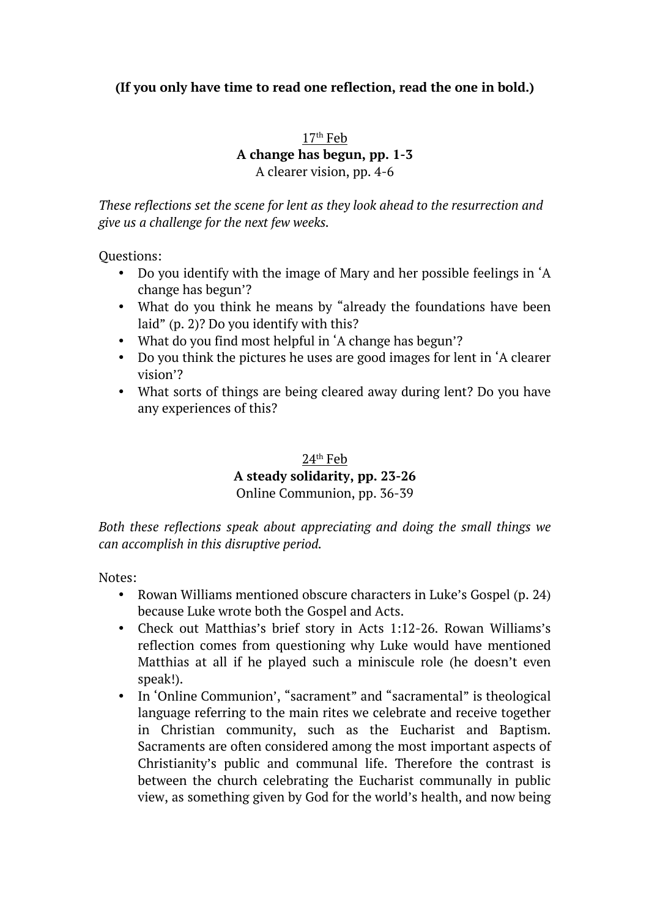# **(If you only have time to read one reflection, read the one in bold.)**

 $17<sup>th</sup>$  Feb

# **A change has begun, pp. 1-3**

A clearer vision, pp. 4-6

*These reflections set the scene for lent as they look ahead to the resurrection and give us a challenge for the next few weeks.*

Questions:

- Do you identify with the image of Mary and her possible feelings in 'A change has begun'?
- What do you think he means by "already the foundations have been laid" (p. 2)? Do you identify with this?
- What do you find most helpful in 'A change has begun'?
- Do you think the pictures he uses are good images for lent in 'A clearer vision'?
- What sorts of things are being cleared away during lent? Do you have any experiences of this?

# $24<sup>th</sup>$  Feb **A steady solidarity, pp. 23-26** Online Communion, pp. 36-39

*Both these reflections speak about appreciating and doing the small things we can accomplish in this disruptive period.*

Notes:

- Rowan Williams mentioned obscure characters in Luke's Gospel (p. 24) because Luke wrote both the Gospel and Acts.
- Check out Matthias's brief story in Acts 1:12-26. Rowan Williams's reflection comes from questioning why Luke would have mentioned Matthias at all if he played such a miniscule role (he doesn't even speak!).
- In 'Online Communion', "sacrament" and "sacramental" is theological language referring to the main rites we celebrate and receive together in Christian community, such as the Eucharist and Baptism. Sacraments are often considered among the most important aspects of Christianity's public and communal life. Therefore the contrast is between the church celebrating the Eucharist communally in public view, as something given by God for the world's health, and now being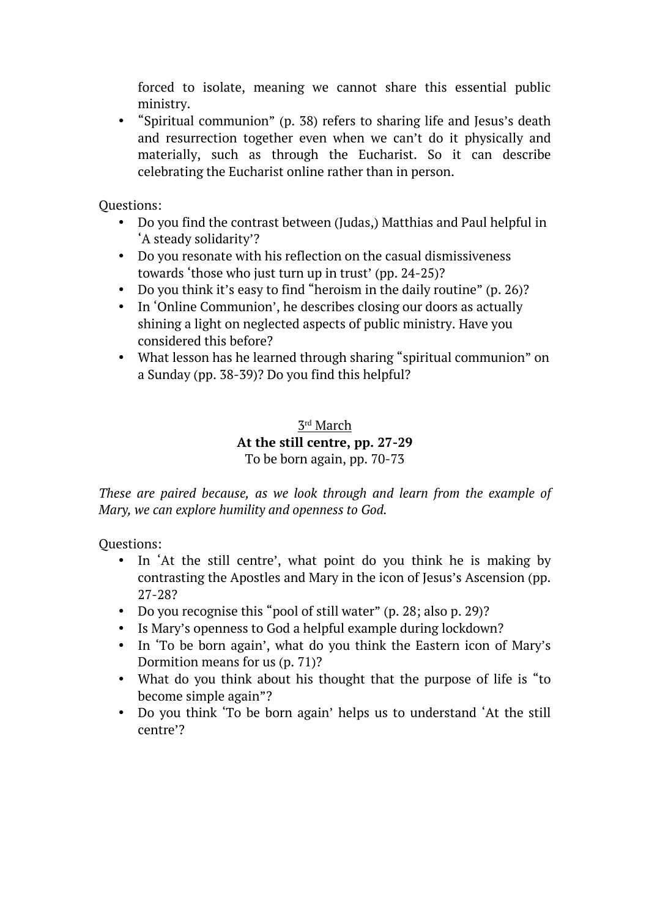forced to isolate, meaning we cannot share this essential public ministry.

• "Spiritual communion" (p. 38) refers to sharing life and Jesus's death and resurrection together even when we can't do it physically and materially, such as through the Eucharist. So it can describe celebrating the Eucharist online rather than in person.

Questions:

- Do you find the contrast between (Judas,) Matthias and Paul helpful in 'A steady solidarity'?
- Do you resonate with his reflection on the casual dismissiveness towards 'those who just turn up in trust' (pp. 24-25)?
- Do you think it's easy to find "heroism in the daily routine" (p. 26)?
- In 'Online Communion', he describes closing our doors as actually shining a light on neglected aspects of public ministry. Have you considered this before?
- What lesson has he learned through sharing "spiritual communion" on a Sunday (pp. 38-39)? Do you find this helpful?

# 3rd March **At the still centre, pp. 27-29** To be born again, pp. 70-73

*These are paired because, as we look through and learn from the example of Mary, we can explore humility and openness to God.* 

- In 'At the still centre', what point do you think he is making by contrasting the Apostles and Mary in the icon of Jesus's Ascension (pp. 27-28?
- Do you recognise this "pool of still water" (p. 28; also p. 29)?
- Is Mary's openness to God a helpful example during lockdown?
- In 'To be born again', what do you think the Eastern icon of Mary's Dormition means for us (p. 71)?
- What do you think about his thought that the purpose of life is "to become simple again"?
- Do you think 'To be born again' helps us to understand 'At the still centre'?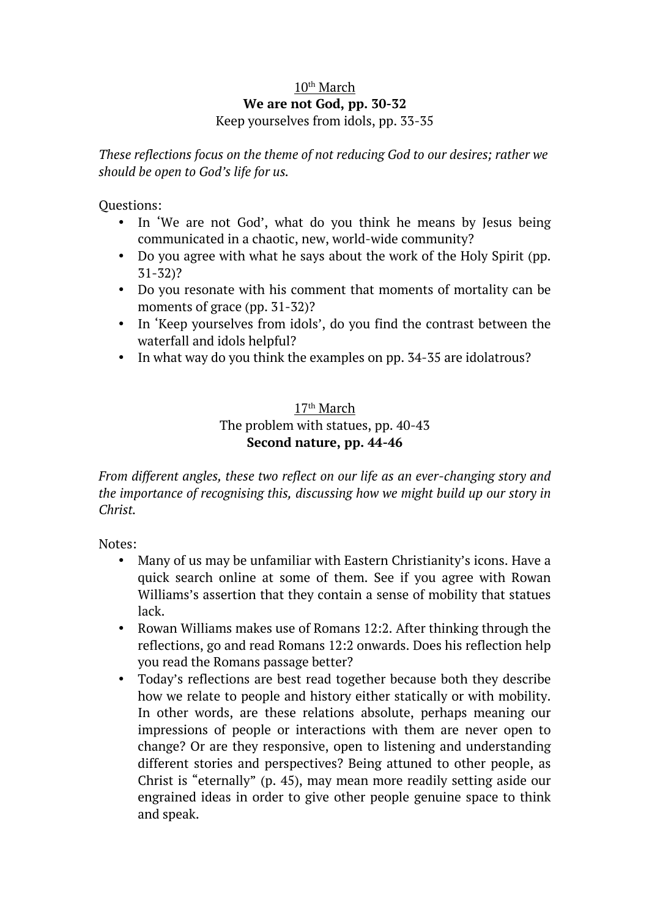#### 10<sup>th</sup> March **We are not God, pp. 30-32** Keep yourselves from idols, pp. 33-35

*These reflections focus on the theme of not reducing God to our desires; rather we should be open to God's life for us.*

Questions:

- In 'We are not God', what do you think he means by Jesus being communicated in a chaotic, new, world-wide community?
- Do you agree with what he says about the work of the Holy Spirit (pp. 31-32)?
- Do you resonate with his comment that moments of mortality can be moments of grace (pp. 31-32)?
- In 'Keep yourselves from idols', do you find the contrast between the waterfall and idols helpful?
- In what way do you think the examples on pp. 34-35 are idolatrous?

#### 17th March The problem with statues, pp. 40-43 **Second nature, pp. 44-46**

*From different angles, these two reflect on our life as an ever-changing story and the importance of recognising this, discussing how we might build up our story in Christ.* 

Notes:

- Many of us may be unfamiliar with Eastern Christianity's icons. Have a quick search online at some of them. See if you agree with Rowan Williams's assertion that they contain a sense of mobility that statues lack.
- Rowan Williams makes use of Romans 12:2. After thinking through the reflections, go and read Romans 12:2 onwards. Does his reflection help you read the Romans passage better?
- Today's reflections are best read together because both they describe how we relate to people and history either statically or with mobility. In other words, are these relations absolute, perhaps meaning our impressions of people or interactions with them are never open to change? Or are they responsive, open to listening and understanding different stories and perspectives? Being attuned to other people, as Christ is "eternally" (p. 45), may mean more readily setting aside our engrained ideas in order to give other people genuine space to think and speak.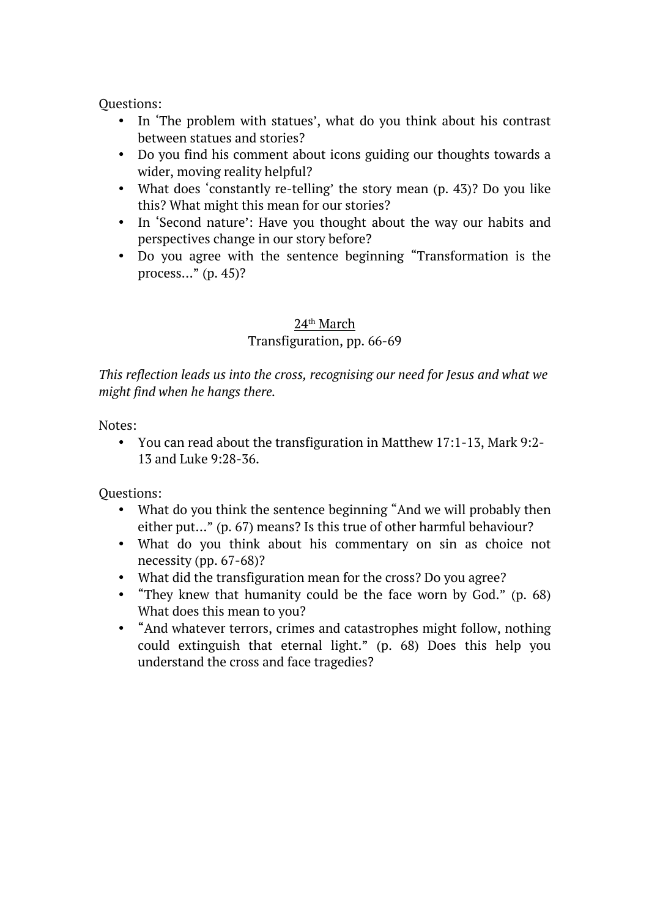Questions:

- In 'The problem with statues', what do you think about his contrast between statues and stories?
- Do you find his comment about icons guiding our thoughts towards a wider, moving reality helpful?
- What does 'constantly re-telling' the story mean (p. 43)? Do you like this? What might this mean for our stories?
- In 'Second nature': Have you thought about the way our habits and perspectives change in our story before?
- Do you agree with the sentence beginning "Transformation is the process…" (p. 45)?

## 24th March

## Transfiguration, pp. 66-69

*This reflection leads us into the cross, recognising our need for Jesus and what we might find when he hangs there.*

Notes:

• You can read about the transfiguration in Matthew 17:1-13, Mark 9:2- 13 and Luke 9:28-36.

- What do you think the sentence beginning "And we will probably then either put…" (p. 67) means? Is this true of other harmful behaviour?
- What do you think about his commentary on sin as choice not necessity (pp. 67-68)?
- What did the transfiguration mean for the cross? Do you agree?
- "They knew that humanity could be the face worn by God." (p. 68) What does this mean to you?
- "And whatever terrors, crimes and catastrophes might follow, nothing could extinguish that eternal light." (p. 68) Does this help you understand the cross and face tragedies?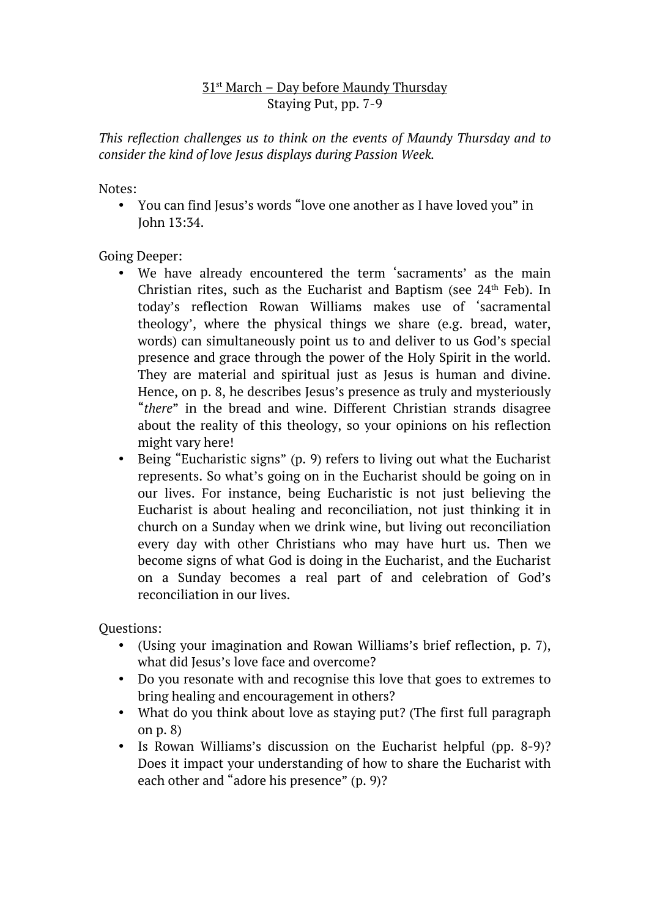# $31$ <sup>st</sup> March – Day before Maundy Thursday Staying Put, pp. 7-9

*This reflection challenges us to think on the events of Maundy Thursday and to consider the kind of love Jesus displays during Passion Week.*

Notes:

• You can find Jesus's words "love one another as I have loved you" in John 13:34.

Going Deeper:

- We have already encountered the term 'sacraments' as the main Christian rites, such as the Eucharist and Baptism (see  $24<sup>th</sup>$  Feb). In today's reflection Rowan Williams makes use of 'sacramental theology', where the physical things we share (e.g. bread, water, words) can simultaneously point us to and deliver to us God's special presence and grace through the power of the Holy Spirit in the world. They are material and spiritual just as Jesus is human and divine. Hence, on p. 8, he describes Jesus's presence as truly and mysteriously "*there*" in the bread and wine. Different Christian strands disagree about the reality of this theology, so your opinions on his reflection might vary here!
- Being "Eucharistic signs" (p. 9) refers to living out what the Eucharist represents. So what's going on in the Eucharist should be going on in our lives. For instance, being Eucharistic is not just believing the Eucharist is about healing and reconciliation, not just thinking it in church on a Sunday when we drink wine, but living out reconciliation every day with other Christians who may have hurt us. Then we become signs of what God is doing in the Eucharist, and the Eucharist on a Sunday becomes a real part of and celebration of God's reconciliation in our lives.

- (Using your imagination and Rowan Williams's brief reflection, p. 7), what did Jesus's love face and overcome?
- Do you resonate with and recognise this love that goes to extremes to bring healing and encouragement in others?
- What do you think about love as staying put? (The first full paragraph on p. 8)
- Is Rowan Williams's discussion on the Eucharist helpful (pp. 8-9)? Does it impact your understanding of how to share the Eucharist with each other and "adore his presence" (p. 9)?